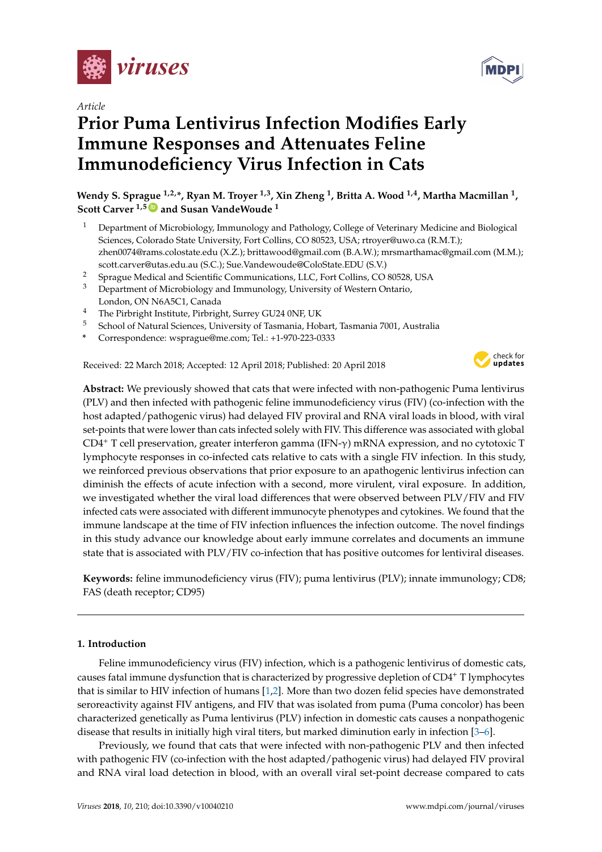

*Article*

# **Prior Puma Lentivirus Infection Modifies Early Immune Responses and Attenuates Feline Immunodeficiency Virus Infection in Cats**

**Wendy S. Sprague 1,2,\*, Ryan M. Troyer 1,3, Xin Zheng <sup>1</sup> , Britta A. Wood 1,4, Martha Macmillan <sup>1</sup> , Scott Carver 1,5 [ID](https://orcid.org/0000-0002-3579-7588) and Susan VandeWoude <sup>1</sup>**

- <sup>1</sup> Department of Microbiology, Immunology and Pathology, College of Veterinary Medicine and Biological Sciences, Colorado State University, Fort Collins, CO 80523, USA; rtroyer@uwo.ca (R.M.T.); zhen0074@rams.colostate.edu (X.Z.); brittawood@gmail.com (B.A.W.); mrsmarthamac@gmail.com (M.M.); scott.carver@utas.edu.au (S.C.); Sue.Vandewoude@ColoState.EDU (S.V.)
- <sup>2</sup> Sprague Medical and Scientific Communications, LLC, Fort Collins, CO 80528, USA
- <sup>3</sup> Department of Microbiology and Immunology, University of Western Ontario, London, ON N6A5C1, Canada
- <sup>4</sup> The Pirbright Institute, Pirbright, Surrey GU24 0NF, UK
- <sup>5</sup> School of Natural Sciences, University of Tasmania, Hobart, Tasmania 7001, Australia
- **\*** Correspondence: wsprague@me.com; Tel.: +1-970-223-0333

Received: 22 March 2018; Accepted: 12 April 2018; Published: 20 April 2018



**Abstract:** We previously showed that cats that were infected with non-pathogenic Puma lentivirus (PLV) and then infected with pathogenic feline immunodeficiency virus (FIV) (co-infection with the host adapted/pathogenic virus) had delayed FIV proviral and RNA viral loads in blood, with viral set-points that were lower than cats infected solely with FIV. This difference was associated with global CD4<sup>+</sup> T cell preservation, greater interferon gamma (IFN-γ) mRNA expression, and no cytotoxic T lymphocyte responses in co-infected cats relative to cats with a single FIV infection. In this study, we reinforced previous observations that prior exposure to an apathogenic lentivirus infection can diminish the effects of acute infection with a second, more virulent, viral exposure. In addition, we investigated whether the viral load differences that were observed between PLV/FIV and FIV infected cats were associated with different immunocyte phenotypes and cytokines. We found that the immune landscape at the time of FIV infection influences the infection outcome. The novel findings in this study advance our knowledge about early immune correlates and documents an immune state that is associated with PLV/FIV co-infection that has positive outcomes for lentiviral diseases.

**Keywords:** feline immunodeficiency virus (FIV); puma lentivirus (PLV); innate immunology; CD8; FAS (death receptor; CD95)

### **1. Introduction**

Feline immunodeficiency virus (FIV) infection, which is a pathogenic lentivirus of domestic cats, causes fatal immune dysfunction that is characterized by progressive depletion of CD4<sup>+</sup> T lymphocytes that is similar to HIV infection of humans [\[1,](#page-12-0)[2\]](#page-12-1). More than two dozen felid species have demonstrated seroreactivity against FIV antigens, and FIV that was isolated from puma (Puma concolor) has been characterized genetically as Puma lentivirus (PLV) infection in domestic cats causes a nonpathogenic disease that results in initially high viral titers, but marked diminution early in infection [\[3](#page-13-0)[–6\]](#page-13-1).

Previously, we found that cats that were infected with non-pathogenic PLV and then infected with pathogenic FIV (co-infection with the host adapted/pathogenic virus) had delayed FIV proviral and RNA viral load detection in blood, with an overall viral set-point decrease compared to cats

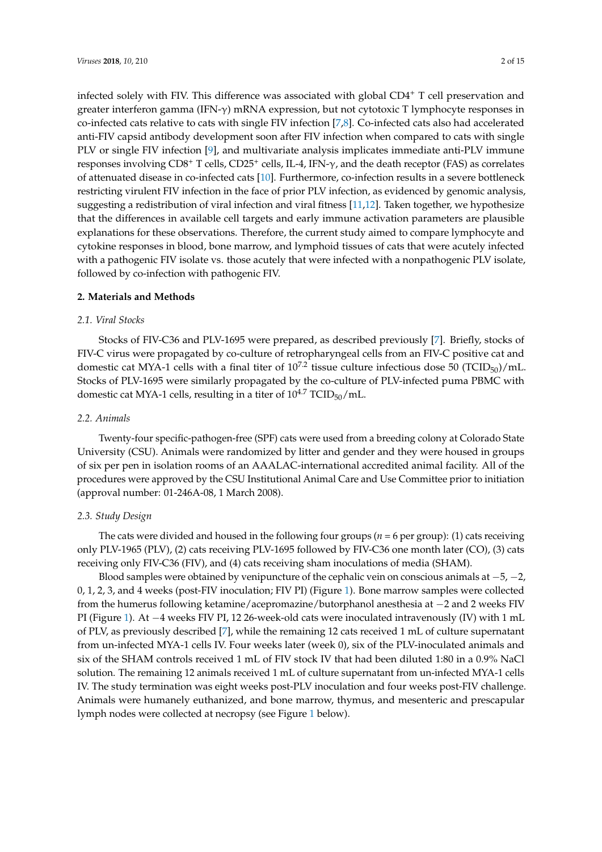infected solely with FIV. This difference was associated with global CD4<sup>+</sup> T cell preservation and greater interferon gamma (IFN- $\gamma$ ) mRNA expression, but not cytotoxic T lymphocyte responses in co-infected cats relative to cats with single FIV infection [\[7,](#page-13-2)[8\]](#page-13-3). Co-infected cats also had accelerated anti-FIV capsid antibody development soon after FIV infection when compared to cats with single PLV or single FIV infection [\[9\]](#page-13-4), and multivariate analysis implicates immediate anti-PLV immune responses involving CD8<sup>+</sup> T cells, CD25<sup>+</sup> cells, IL-4, IFN-γ, and the death receptor (FAS) as correlates of attenuated disease in co-infected cats [\[10\]](#page-13-5). Furthermore, co-infection results in a severe bottleneck restricting virulent FIV infection in the face of prior PLV infection, as evidenced by genomic analysis, suggesting a redistribution of viral infection and viral fitness [\[11,](#page-13-6)[12\]](#page-13-7). Taken together, we hypothesize that the differences in available cell targets and early immune activation parameters are plausible explanations for these observations. Therefore, the current study aimed to compare lymphocyte and cytokine responses in blood, bone marrow, and lymphoid tissues of cats that were acutely infected with a pathogenic FIV isolate vs. those acutely that were infected with a nonpathogenic PLV isolate, followed by co-infection with pathogenic FIV.

### **2. Materials and Methods**

### *2.1. Viral Stocks*

Stocks of FIV-C36 and PLV-1695 were prepared, as described previously [\[7\]](#page-13-2). Briefly, stocks of FIV-C virus were propagated by co-culture of retropharyngeal cells from an FIV-C positive cat and domestic cat MYA-1 cells with a final titer of  $10^{7.2}$  tissue culture infectious dose 50 (TCID<sub>50</sub>)/mL. Stocks of PLV-1695 were similarly propagated by the co-culture of PLV-infected puma PBMC with domestic cat MYA-1 cells, resulting in a titer of  $10^{4.7}$  TCID<sub>50</sub>/mL.

### *2.2. Animals*

Twenty-four specific-pathogen-free (SPF) cats were used from a breeding colony at Colorado State University (CSU). Animals were randomized by litter and gender and they were housed in groups of six per pen in isolation rooms of an AAALAC-international accredited animal facility. All of the procedures were approved by the CSU Institutional Animal Care and Use Committee prior to initiation (approval number: 01-246A-08, 1 March 2008).

### *2.3. Study Design*

The cats were divided and housed in the following four groups ( $n = 6$  per group): (1) cats receiving only PLV-1965 (PLV), (2) cats receiving PLV-1695 followed by FIV-C36 one month later (CO), (3) cats receiving only FIV-C36 (FIV), and (4) cats receiving sham inoculations of media (SHAM).

Blood samples were obtained by venipuncture of the cephalic vein on conscious animals at  $-5$ ,  $-2$ , 0, 1, 2, 3, and 4 weeks (post-FIV inoculation; FIV PI) (Figure [1\)](#page-2-0). Bone marrow samples were collected from the humerus following ketamine/acepromazine/butorphanol anesthesia at −2 and 2 weeks FIV PI (Figure [1\)](#page-2-0). At −4 weeks FIV PI, 12 26-week-old cats were inoculated intravenously (IV) with 1 mL of PLV, as previously described [\[7\]](#page-13-2), while the remaining 12 cats received 1 mL of culture supernatant from un-infected MYA-1 cells IV. Four weeks later (week 0), six of the PLV-inoculated animals and six of the SHAM controls received 1 mL of FIV stock IV that had been diluted 1:80 in a 0.9% NaCl solution. The remaining 12 animals received 1 mL of culture supernatant from un-infected MYA-1 cells IV. The study termination was eight weeks post-PLV inoculation and four weeks post-FIV challenge. Animals were humanely euthanized, and bone marrow, thymus, and mesenteric and prescapular lymph nodes were collected at necropsy (see Figure [1](#page-2-0) below).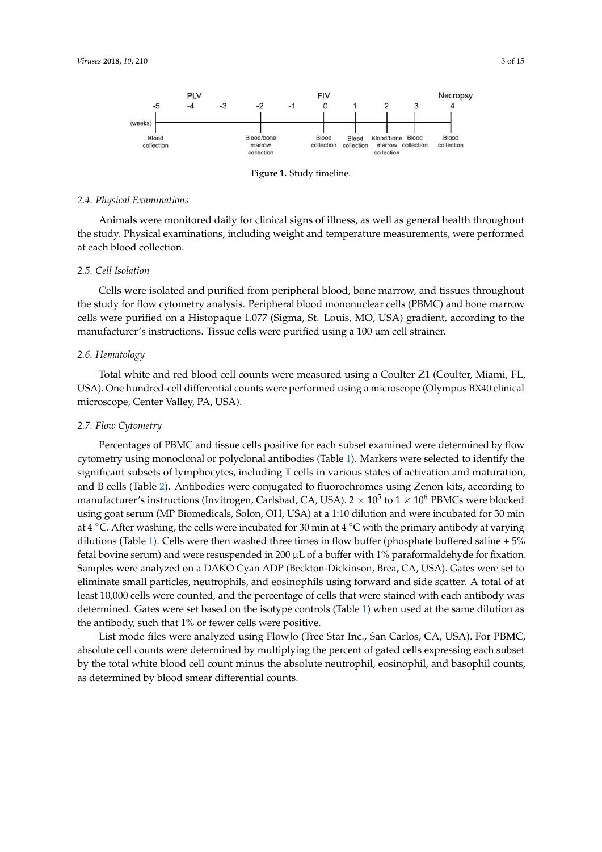<span id="page-2-0"></span>

**Figure 1.** Study timeline.

### *2.4. Physical Examinations*

*2.4 Physical Examinations* the study. Physical examinations, including weight and temperature measurements, were performed at each blood collection. Animals were monitored daily for clinical signs of illness, as well as general health throughout

### *2.5. Cell Isolation*

*2.5 Cell Isolation* Cells were isolated and purified from peripheral blood, bone marrow, and tissues throughout the study for flow cytometry analysis. Peripheral blood mononuclear cells (PBMC) and bone marrow cells were purified on a Histopaque 1.077 (Sigma, St. Louis, MO, USA) gradient, according to the manufacturer's instructions. Tissue cells were purified using a 100 µm cell strainer.

### *2.6. Hematology*

Total white and red blood cell counts were measured using a Coulter Z1 (Coulter, Miami, FL, USA). One hundred-cell differential counts were performed using a microscope (Olympus BX40 clinical microscope, Center Valley, PA, USA). We have performed using a microscope, Center Valley, PA, USA).

#### clinical microscope, Center Valley, PA, USA). *2.7. Flow Cytometry*

Percentages of PBMC and tissue cells positive for each subset examined were determined by flow cytometry using monoclonal or polyclonal antibodies (Table 1). Markers were selected to identify the  $s$ ignificant subsets of lymphocytes, including T cells in various states of activation and maturation, and B cells (Table [2\)](#page-3-1). Antibodies were conjugated to fluorochromes using Zenon kits, according to manufacturer's instructions (Invitrogen, Carlsbad, CA, USA). 2  $\times$   $10^5$  to 1  $\times$   $10^6$  PBMCs were blocked using goat serum (MP Biomedicals, Solon, OH, USA) at a 1:10 dilution and were incubated for 30 min at 4 °C. After washing, the cells were incubated for 30 min at 4 °C with the primary antibody at varying dilutions (Table [1\)](#page-3-0). Cells were then washed three times in flow buffer (phosphate buffered saline + 5% fetal bovine serum) and were resuspended in 200  $\mu$ L of a buffer with 1% paraformaldehyde for fixation. Samples were analyzed on a DAKO Cyan ADP (Beckton-Dickinson, Brea, CA, USA). Gates were set to eliminate small particles, neutrophils, and eosinophils using forward and side scatter. A total of at least 10,000 cells were counted, and the percentage of cells that were stained with each antibody was determined. Gates were set based on the isotype controls (Table [1\)](#page-3-0) when used at the same dilution as the antibody, such that 1% or fewer cells were positive.

List mode files were analyzed using FlowJo (Tree Star Inc., San Carlos, CA, USA). For PBMC, absolute cell counts were determined by multiplying the percent of gated cells expressing each subset by the total white blood cell count minus the absolute neutrophil, eosinophil, and basophil counts, as determined by blood smear differential counts.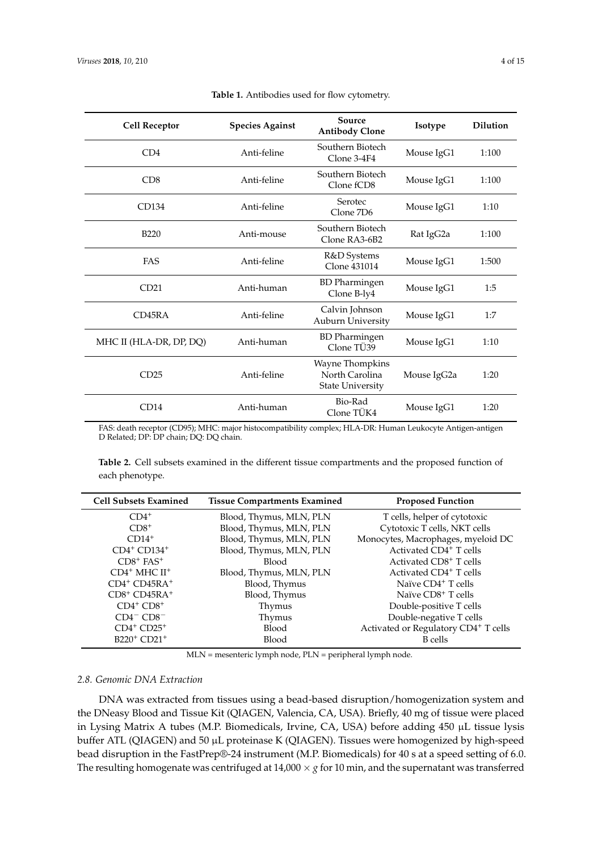<span id="page-3-0"></span>

| <b>Cell Receptor</b>    | <b>Species Against</b> | Source<br><b>Antibody Clone</b>                              | Isotype     | <b>Dilution</b> |
|-------------------------|------------------------|--------------------------------------------------------------|-------------|-----------------|
| CD4                     | Anti-feline            | Southern Biotech<br>Clone 3-4F4                              | Mouse IgG1  | 1:100           |
| CD8                     | Anti-feline            | Southern Biotech<br>Clone fCD8                               | Mouse IgG1  | 1:100           |
| CD134                   | Anti-feline            | Serotec<br>Clone 7D6                                         | Mouse IgG1  | 1:10            |
| <b>B220</b>             | Anti-mouse             | Southern Biotech<br>Clone RA3-6B2                            | Rat IgG2a   | 1:100           |
| <b>FAS</b>              | Anti-feline            | R&D Systems<br>Clone 431014                                  | Mouse IgG1  | 1:500           |
| CD21                    | Anti-human             | <b>BD</b> Pharmingen<br>Clone B-ly4                          | Mouse IgG1  | 1:5             |
| CD45RA                  | Anti-feline            | Calvin Johnson<br>Auburn University                          | Mouse IgG1  | 1:7             |
| MHC II (HLA-DR, DP, DQ) | Anti-human             | <b>BD</b> Pharmingen<br>Clone TÜ39                           | Mouse IgG1  | 1:10            |
| CD25                    | Anti-feline            | Wayne Thompkins<br>North Carolina<br><b>State University</b> | Mouse IgG2a | 1:20            |
| CD14                    | Anti-human             | Bio-Rad<br>Clone TÜK4                                        | Mouse IgG1  | 1:20            |

|  | Table 1. Antibodies used for flow cytometry. |  |  |  |  |
|--|----------------------------------------------|--|--|--|--|
|--|----------------------------------------------|--|--|--|--|

FAS: death receptor (CD95); MHC: major histocompatibility complex; HLA-DR: Human Leukocyte Antigen-antigen D Related; DP: DP chain; DQ: DQ chain.

<span id="page-3-1"></span>**Table 2.** Cell subsets examined in the different tissue compartments and the proposed function of each phenotype.

| <b>Cell Subsets Examined</b>          | <b>Tissue Compartments Examined</b> | <b>Proposed Function</b>             |
|---------------------------------------|-------------------------------------|--------------------------------------|
| $CD4^+$                               | Blood, Thymus, MLN, PLN             | T cells, helper of cytotoxic         |
| $CD8+$                                | Blood, Thymus, MLN, PLN             | Cytotoxic T cells, NKT cells         |
| $CD14+$                               | Blood, Thymus, MLN, PLN             | Monocytes, Macrophages, myeloid DC   |
| $CD4^+$ $CD134^+$                     | Blood, Thymus, MLN, PLN             | Activated CD4 <sup>+</sup> T cells   |
| $CD8$ <sup>+</sup> $FAS$ <sup>+</sup> | Blood                               | Activated CD8 <sup>+</sup> T cells   |
| CD4 <sup>+</sup> MHC II <sup>+</sup>  | Blood, Thymus, MLN, PLN             | Activated CD4 <sup>+</sup> T cells   |
| $CD4^+$ $CD45RA^+$                    | Blood, Thymus                       | Naïve CD4 <sup>+</sup> T cells       |
| $CD8+ CD45RA+$                        | Blood, Thymus                       | Naïve CD8 <sup>+</sup> T cells       |
| $CD4^+$ $CD8^+$                       | Thymus                              | Double-positive T cells              |
| $CD4-CD8$ <sup>-</sup>                | Thymus                              | Double-negative T cells              |
| $CD4^+$ $CD25^+$                      | Blood                               | Activated or Regulatory CD4+ T cells |
| B220 <sup>+</sup> CD21 <sup>+</sup>   | <b>Blood</b>                        | <b>B</b> cells                       |

MLN = mesenteric lymph node, PLN = peripheral lymph node.

### *2.8. Genomic DNA Extraction*

DNA was extracted from tissues using a bead-based disruption/homogenization system and the DNeasy Blood and Tissue Kit (QIAGEN, Valencia, CA, USA). Briefly, 40 mg of tissue were placed in Lysing Matrix A tubes (M.P. Biomedicals, Irvine, CA, USA) before adding 450 µL tissue lysis buffer ATL (QIAGEN) and 50 µL proteinase K (QIAGEN). Tissues were homogenized by high-speed bead disruption in the FastPrep®-24 instrument (M.P. Biomedicals) for 40 s at a speed setting of 6.0. The resulting homogenate was centrifuged at  $14,000 \times g$  for 10 min, and the supernatant was transferred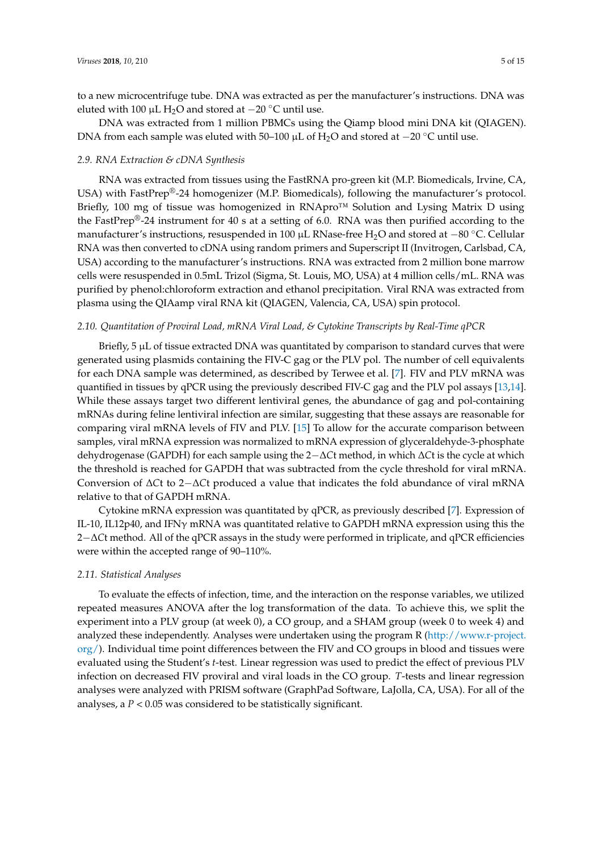to a new microcentrifuge tube. DNA was extracted as per the manufacturer's instructions. DNA was eluted with 100 µL H<sub>2</sub>O and stored at  $-20$  °C until use.

DNA was extracted from 1 million PBMCs using the Qiamp blood mini DNA kit (QIAGEN). DNA from each sample was eluted with 50–100 µL of H<sub>2</sub>O and stored at −20 °C until use.

### *2.9. RNA Extraction & cDNA Synthesis*

RNA was extracted from tissues using the FastRNA pro-green kit (M.P. Biomedicals, Irvine, CA, USA) with FastPrep<sup>®</sup>-24 homogenizer (M.P. Biomedicals), following the manufacturer's protocol. Briefly, 100 mg of tissue was homogenized in RNApro™ Solution and Lysing Matrix D using the FastPrep®-24 instrument for 40 s at a setting of 6.0. RNA was then purified according to the manufacturer's instructions, resuspended in 100 µL RNase-free H2O and stored at −80 ◦C. Cellular RNA was then converted to cDNA using random primers and Superscript II (Invitrogen, Carlsbad, CA, USA) according to the manufacturer's instructions. RNA was extracted from 2 million bone marrow cells were resuspended in 0.5mL Trizol (Sigma, St. Louis, MO, USA) at 4 million cells/mL. RNA was purified by phenol:chloroform extraction and ethanol precipitation. Viral RNA was extracted from plasma using the QIAamp viral RNA kit (QIAGEN, Valencia, CA, USA) spin protocol.

### *2.10. Quantitation of Proviral Load, mRNA Viral Load, & Cytokine Transcripts by Real-Time qPCR*

Briefly,  $5 \mu L$  of tissue extracted DNA was quantitated by comparison to standard curves that were generated using plasmids containing the FIV-C gag or the PLV pol. The number of cell equivalents for each DNA sample was determined, as described by Terwee et al. [\[7\]](#page-13-2). FIV and PLV mRNA was quantified in tissues by qPCR using the previously described FIV-C gag and the PLV pol assays [\[13](#page-13-8)[,14\]](#page-13-9). While these assays target two different lentiviral genes, the abundance of gag and pol-containing mRNAs during feline lentiviral infection are similar, suggesting that these assays are reasonable for comparing viral mRNA levels of FIV and PLV. [\[15\]](#page-13-10) To allow for the accurate comparison between samples, viral mRNA expression was normalized to mRNA expression of glyceraldehyde-3-phosphate dehydrogenase (GAPDH) for each sample using the 2−∆*C*t method, in which ∆*C*t is the cycle at which the threshold is reached for GAPDH that was subtracted from the cycle threshold for viral mRNA. Conversion of ∆*C*t to 2−∆*C*t produced a value that indicates the fold abundance of viral mRNA relative to that of GAPDH mRNA.

Cytokine mRNA expression was quantitated by qPCR, as previously described [\[7\]](#page-13-2). Expression of IL-10, IL12p40, and IFNγ mRNA was quantitated relative to GAPDH mRNA expression using this the 2−∆*C*t method. All of the qPCR assays in the study were performed in triplicate, and qPCR efficiencies were within the accepted range of 90–110%.

### *2.11. Statistical Analyses*

To evaluate the effects of infection, time, and the interaction on the response variables, we utilized repeated measures ANOVA after the log transformation of the data. To achieve this, we split the experiment into a PLV group (at week 0), a CO group, and a SHAM group (week 0 to week 4) and analyzed these independently. Analyses were undertaken using the program R [\(http://www.r-project.](http://www.r-project.org/) [org/\)](http://www.r-project.org/). Individual time point differences between the FIV and CO groups in blood and tissues were evaluated using the Student's *t*-test. Linear regression was used to predict the effect of previous PLV infection on decreased FIV proviral and viral loads in the CO group. *T*-tests and linear regression analyses were analyzed with PRISM software (GraphPad Software, LaJolla, CA, USA). For all of the analyses, a  $P < 0.05$  was considered to be statistically significant.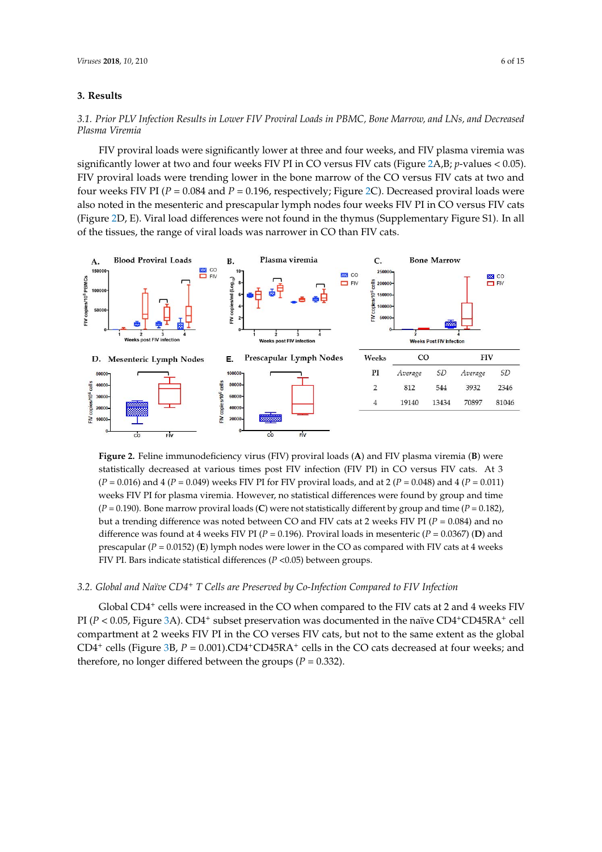## **3. Results 3. Results**

## 3.1. Prior PLV Infection Results in Lower FIV Proviral Loads in PBMC, Bone Marrow, and LNs, and Decreased *Plasma Viremia Decreased Plasma Viremia*

FIV proviral loads were significantly lower at three and four weeks, and FIV plasma viremia was FIV proviral loads were significantly lower at three and four weeks, and FIV plasma viremia significantly lower at two and four weeks FIV PI in CO versus FIV cats ([Fig](#page-5-0)ure 2A,B; *p*-values < 0.05). FIV proviral loads were trending lower in the bone marrow of the CO versus FIV cats at two and four weeks FIV PI ( $P = 0.084$  and  $P = 0.196$ , respectively; Figure [2C](#page-5-0)). Decreased proviral loads were also noted in the mesenteric and prescapular lymph nodes four weeks FIV PI in CO versus FIV cats (Figure [2D](#page-5-0), E). Viral load differences were not found in the thymus (Supplementary Figure S1). In all of the tissues, the range of viral loads was narrower in CO than FIV cats.

<span id="page-5-0"></span>

Figure 2. Feline immunodeficiency virus (FIV) proviral loads (A) and FIV plasma viremia (B) were statistically decreased at various times post FIV infection (FIV PI) in CO versus FIV cats. At 3  $(P = 0.016)$  and 4 ( $P = 0.049$ ) weeks FIV PI for FIV proviral loads, and at 2 ( $P = 0.048$ ) and 4 ( $P = 0.011$ ) weeks FIV PI for plasma viremia. However, no statistical differences were found by group and time  $(P = 0.190)$ . Bone marrow proviral loads (C) were not statistically different by group and time ( $P = 0.182$ ), but a trending difference was noted between CO and FIV cats at 2 weeks FIV PI (*P* = 0.084) and no but a trending difference was noted between CO and FIV cats at 2 weeks FIV PI (*P* = 0.084) and no difference was found at 4 weeks FIV PI ( $P = 0.196$ ). Proviral loads in mesenteric ( $P = 0.0367$ ) (D) and prescapular ( $P = 0.0152$ ) (E) lymph nodes were lower in the CO as compared with FIV cats at 4 weeks FIV PI. Bars indicate statistical differences (*P* <0.05) between groups. FIV PI. Bars indicate statistical differences (*P* <0.05) between groups.

## 3.2. Global and Naïve CD4<sup>+</sup> T Cells are Preserved by Co-Infection Compared to FIV Infection

Global CD4<sup>+</sup> cells were increased in the CO when compared to the FIV cats at 2 and 4 weeks FIV PI (*P* < 0.05, Figure [3A](#page-6-0)). CD4<sup>+</sup> subset preservation was documented in the naïve CD4<sup>+</sup>CD45RA<sup>+</sup> cell compartment at 2 weeks FIV PI in the CO verses FIV cats, but not to the same extent as the global compartment at 2 weeks FIV PI in the CO verses FIV cats, but not to the same extent as the global CD4<sup>+</sup> cells (Figure [3B](#page-6-0), P = 0.001).CD4<sup>+</sup>CD45RA<sup>+</sup> cells in the CO cats decreased at four weeks; and therefore, no longer differed between the groups ( $P = 0.332$ ).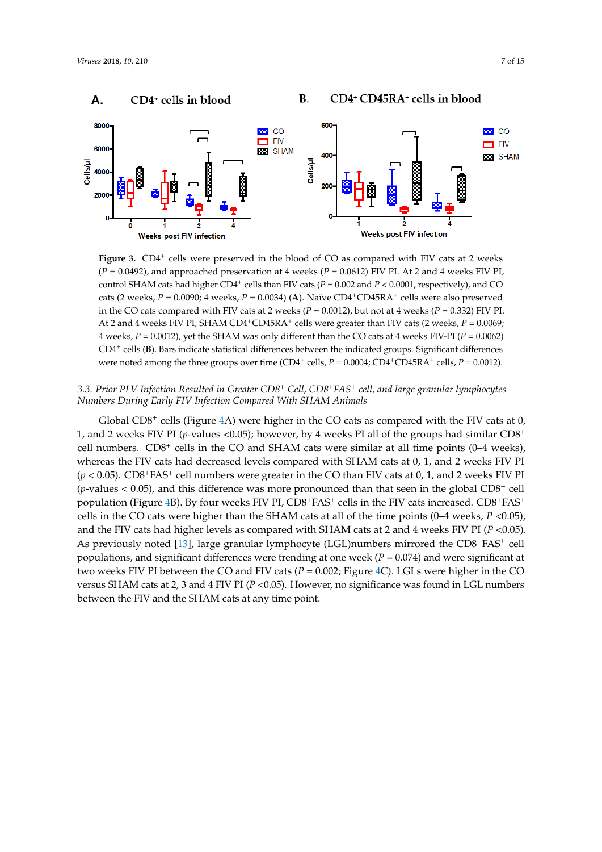<span id="page-6-0"></span>

Figure 3. CD4<sup>+</sup> cells were preserved in the blood of CO as compared with FIV cats at 2 weeks  $(P = 0.0492)$ , and approached preservation at 4 weeks  $(P = 0.0612)$  FIV PI. At 2 and 4 weeks FIV PI, control SHAM cats had higher  $CD4^+$  cells than FIV cats ( $P = 0.002$  and  $P < 0.0001$ , respectively), and CO cats (2 weeks,  $P = 0.0090$ ; 4 weeks,  $P = 0.0034$ ) (A). Naïve CD4<sup>+</sup>CD45RA<sup>+</sup> cells were also preserved in the CO cats compared with FIV cats at 2 weeks  $(P = 0.0012)$ , but not at 4 weeks  $(P = 0.332)$  FIV PI. At 2 and 4 weeks FIV PI, SHAM CD4<sup>+</sup>CD45RA<sup>+</sup> cells were greater than FIV cats (2 weeks, *P* = 0.0069; 4 weeks,  $P = 0.0012$ ), yet the SHAM was only different than the CO cats at 4 weeks FIV-PI ( $P = 0.0062$ ) CD4<sup>+</sup> cells (**B**). Bars indicate statistical differences between the indicated groups. Significant differences were noted among the three groups over time (CD4<sup>+</sup> cells,  $P = 0.0004$ ; CD4<sup>+</sup>CD45RA<sup>+</sup> cells,  $P = 0.0012$ ).

### 3.3. Prior PLV Infection Resulted in Greater CD8<sup>+</sup> Cell, CD8<sup>+</sup>FAS<sup>+</sup> cell, and large granular lymphocytes *Numbers During Early FIV Infection Compared With SHAM Animals Numbers During Early FIV Infection Compared With SHAM Animals*

Global  $CD8^+$  cells (Figure [4A](#page-7-0)) were higher in the CO cats as compared with the FIV cats at 0, 1, and 2 weeks FIV PI (*p*-values <0.05); however, by 4 weeks PI all of the groups had similar CD8<sup>+</sup> cell numbers.  $CD8<sup>+</sup>$  cells in the CO and SHAM cats were similar at all time points (0–4 weeks), whereas the FIV cats had decreased levels compared with SHAM cats at 0, 1, and 2 weeks FIV PI  $(p < 0.05)$ . CD8<sup>+</sup>FAS<sup>+</sup> cell numbers were greater in the CO than FIV cats at 0, 1, and 2 weeks FIV PI  $(p$ -values  $< 0.05$ ), and this difference was more pronounced than that seen in the global CD8<sup>+</sup> cell population (Figure [4B](#page-7-0)). By four weeks FIV PI,  $CDS+FAS^+$  cells in the FIV cats increased.  $CDS+FAS^+$ cells in the CO cats were higher than the SHAM cats at all of the time points (0–4 weeks, *P* <0.05), and the FIV cats had higher levels as compared with SHAM cats at 2 and 4 weeks FIV PI (*P* <0.05). As previously noted [\[13\]](#page-13-8), large granular lymphocyte (LGL)numbers mirrored the CD8<sup>+</sup>FAS<sup>+</sup> cell populations, and significant differences were trending at one week  $(P = 0.074)$  and were significant at two weeks FIV PI between the CO and FIV cats ( $P = 0.002$ ; Figure [4C](#page-7-0)). LGLs were higher in the CO versus SHAM cats at 2, 3 and 4 FIV PI (*P* <0.05). However, no significance was found in LGL numbers FIV and the SHAM cats at any time point. between the FIV and the SHAM cats at any time point.

### CD4+ CD45RA+ cells in blood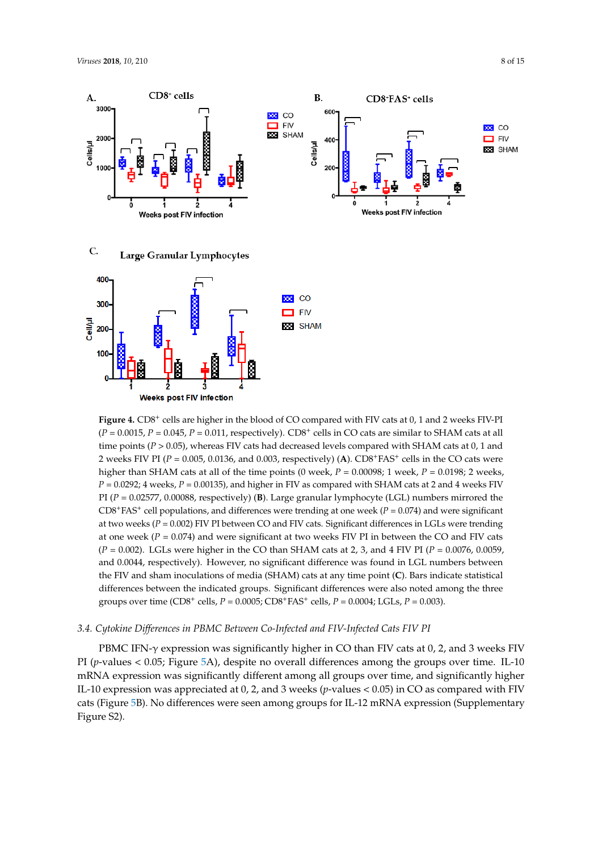<span id="page-7-0"></span>

Figure 4. CD8<sup>+</sup> cells are higher in the blood of CO compared with FIV cats at 0, 1 and 2 weeks FIV-PI  $(P = 0.0015, P = 0.045, P = 0.011,$  respectively). CD8<sup>+</sup> cells in CO cats are similar to SHAM cats at all time points ( $P > 0.05$ ), whereas FIV cats had decreased levels compared with SHAM cats at 0, 1 and 2 weeks FIV PI ( $P = 0.005$ , 0.0136, and 0.003, respectively) (A).  $CD8+FAS+$  cells in the CO cats were higher than SHAM cats at all of the time points (0 week,  $P = 0.00098$ ; 1 week,  $P = 0.0198$ ; 2 weeks,  $P = 0.0292$ ; 4 weeks,  $P = 0.00135$ ), and higher in FIV as compared with SHAM cats at 2 and 4 weeks FIV PI (*P* = 0.02577, 0.00088, respectively) (**B**). Large granular lymphocyte (LGL) numbers mirrored the CD8<sup>+</sup>FAS<sup>+</sup> cell populations, and differences were trending at one week ( $P = 0.074$ ) and were significant at two weeks (*P* = 0.002) FIV PI between CO and FIV cats. Significant differences in LGLs were trending at one week ( $P = 0.074$ ) and were significant at two weeks FIV PI in between the CO and FIV cats  $(P = 0.002)$ . LGLs were higher in the CO than SHAM cats at 2, 3, and 4 FIV PI ( $P = 0.0076$ , 0.0059, and 0.0044, respectively). However, no significant difference was found in LGL numbers between the FIV and sham inoculations of media (SHAM) cats at any time point (**C**). Bars indicate statistical differences between the indicated groups. Significant differences were also noted among the three groups over time (CD8<sup>+</sup> cells, *P* = 0.0005; CD8<sup>+</sup>FAS<sup>+</sup> cells, *P* = 0.0004; LGLs, *P* = 0.003).

### 3.4. Cytokine Differences in PBMC Between Co-Infected and FIV-Infected Cats FIV PI

PBMC IFN-γ expression was significantly higher in CO than FIV cats at 0, 2, and 3 weeks FIV PI (*p*-values < 0.05; Figure 5A), [de](#page-8-0)spite no overall differences among the groups over time. IL-10 mRNA expression was significantly different among all groups over time, and significantly higher IL-10 expression was appreciated at 0, 2, and 3 weeks (*p*-values < 0.05) in CO as compared with FIV (Figure 5B). No differences were seen among groups for IL‐12 mRNA expression (Supplementary cats (Figure [5B](#page-8-0)). No differences were seen among groups for IL-12 mRNA expression (Supplementary Figure S2). Figure S2).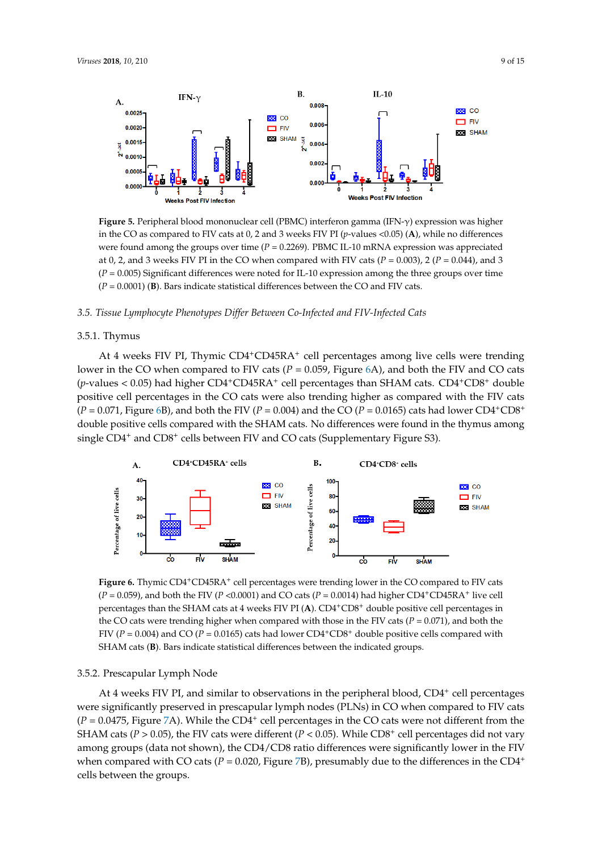<span id="page-8-0"></span>

**Figure 5.** Peripheral blood mononuclear cell (PBMC) interferon gamma (IFN‐γ) expression was **Figure 5.** Peripheral blood mononuclear cell (PBMC) interferon gamma (IFN-γ) expression was higher in the CO as compared to FIV cats at 0, 2 and 3 weeks FIV PI ( $p$ -values <0.05) (**A**), while no differences were found among the groups over time (*P* = 0.2269). PBMC IL-10 mRNA expression was appreciated at 0, 2, and 3 weeks FIV PI in the CO when compared with FIV cats  $(P = 0.003)$ , 2  $(P = 0.044)$ , and 3  $(P = 0.005)$  Significant differences were noted for IL-10 expression among the three groups over time *3.5. Tissue Lymphocyte Phenotypes Differ Between Co‐Infected and FIV‐Infected Cats*  $(P = 0.0001)$  (B). Bars indicate statistical differences between the CO and FIV cats.

#### 3.5. Tissue Lymphocyte Phenotypes Differ Between Co-Infected and FIV-Infected Cats groups over time (*P* = 0.0001) (**B**). Bars indicate statistical differences between the CO and FIV cats.

#### $\mathbf{A}_{\text{I}}$ in the CO when compared to FIV cats (*P* = 0.059, Figure 6A), and both the FIV and CO cats (*p*‐values 3.5.1. Thymus *3.5. Tissue Lymphocyte Phenotypes Differ Between Co‐Infected and FIV‐Infected Cats*

At 4 weeks FIV PI, Thymic CD4+CD45RA+ cell percentages among live cells were trending lower in the CO when compared to FIV cats (*P* = 0.059, Figure [6A](#page-8-1)), and both the FIV and CO cats (p-values < 0.05) had higher CD4+CD45RA+ cell percentages than SHAM cats. CD4+CD8+ double  $\frac{1}{\sqrt{2}}$ positive cell percentages in the CO cats were also trending higher as compared with the FIV cats  $(P = 0.071,$  Figure [6B](#page-8-1)), and both the FIV ( $P = 0.004$ ) and the CO ( $P = 0.0165$ ) cats had lower CD4<sup>+</sup>CD8<sup>+</sup> double positive cells compared with the SHAM cats. No differences were found in the thymus among single CD4<sup>+</sup> and CD8<sup>+</sup> cells between FIV and CO cats (Supplementary Figure S3).  $\sim$  0.05  $\mu$  m and  $\sim$  0.05  $\mu$  m and  $\sim$  0.05  $\mu$  double positive cell percentages than  $\sim$  0.05  $\mu$ 

<span id="page-8-1"></span>

Figure 6. Thymic CD4<sup>+</sup>CD45RA<sup>+</sup> cell percentages were trending lower in the CO compared to FIV cats  $(P = 0.059)$ , and both the FIV ( $P < 0.0001$ ) and CO cats ( $P = 0.0014$ ) had higher CD4<sup>+</sup>CD45RA<sup>+</sup> live cell rcentages than the SHAM cats at 4 weeks FIV PI (A). CD4<sup>+</sup>CD8<sup>+</sup> double positive cell percentages the CO cats were trending higher when compared with those in the FIV cats  $(P = 0.071)$ , and both the FIV ( $P = 0.004$ ) and CO ( $P = 0.0165$ ) cats had lower CD4<sup>+</sup>CD8<sup>+</sup> double positive cells compared with SHAM cats (**B**). Bars indicate statistical differences between the indicated groups. percentages than the SHAM cats at 4 weeks FIV PI (**A**). CD4<sup>+</sup>CD8<sup>+</sup> double positive cell percentages in

### 3.5.2. Prescapular Lymph Node

 $\approx$  4 weeks FIV PI, and were significantly preserved in prescapular lymph nodes **(**PLNs) in CO when compared to FIV cats At 4 weeks FIV PI, and similar to observations in the peripheral blood, CD4<sup>+</sup> cell percentages were significantly preserved in prescapular lymph nodes (PLNs) in CO when compared to FIV cats  $(P = 0.0475$ , Figure [7A](#page-9-0)). While the CD4<sup>+</sup> cell percentages in the CO cats were not different from the SHAM cats ( $P > 0.05$ ), the FIV cats were different ( $P < 0.05$ ). While CD8<sup>+</sup> cell percentages did not vary among groups (data not shown), the CD4/CD8 ratio differences were significantly lower in the FIV when compared with CO cats  $(P = 0.020,$  Figure [7B](#page-9-0)), presumably due to the differences in the CD4<sup>+</sup> cells between the groups.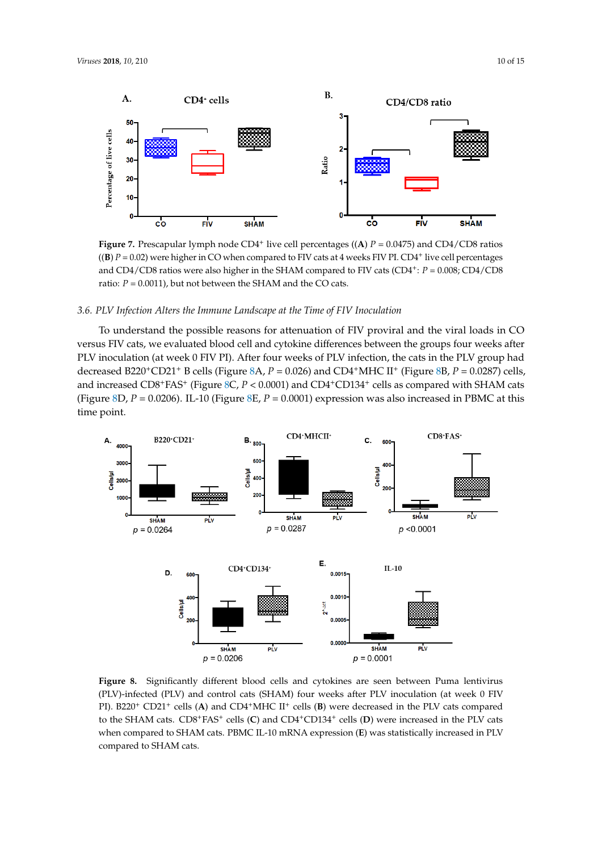<span id="page-9-0"></span>

Figure 7. Prescapular lymph node  $CD4^+$  live cell percentages ((A)  $P = 0.0475$ ) and  $CD4/CD8$  ratios ((B)  $P = 0.02$ ) were higher in CO when compared to FIV cats at 4 weeks FIV PI. CD4<sup>+</sup> live cell percentages and CD4/CD8 ratios were also higher in the SHAM compared to FIV cats (CD4<sup>+</sup>:  $P = 0.008$ ; CD4/CD8 ratio:  $P = 0.0011$ ), but not between the SHAM and the CO cats.

#### To understand the possible reasons for attenuation of FIV proviral and the viral loads in CO 3.6. PLV Infection Alters the Immune Landscape at the Time of FIV Inoculation

To understand the possible reasons for attenuation of FIV proviral and the viral loads in  $\rm CO$ versus FIV cats, we evaluated blood cell and cytokine differences between the groups four weeks after PLV inoculation (at week 0 FIV PI). After four weeks of PLV infection, the cats in the PLV group had decreased  $B220^+CD21^+$  B cells (Figure [8A](#page-9-1),  $P = 0.026$ ) and  $CD4^+$ MHC II<sup>+</sup> (Figure [8B](#page-9-1),  $P = 0.0287$ ) cells, and increased  $CD8+FAS+$  (Figure [8C](#page-9-1),  $P < 0.0001$ ) and  $CD4+CD134+$  cells as compared with SHAM cats (Figure 8D,  $P = 0.0206$ ). IL-10 (Figure [8E](#page-9-1),  $P = 0.0001$ ) expression was also increased in PBMC at this time point. ased  $D220$  CD21. Deens (rigue  $\sigma A$ ,  $I = 0.020$ ) and CD4. MHC in (rigue  $\sigma B$ ,  $I = 0.020$ )  $\alpha$  point. ILECCITE 8D,  $\alpha$  = 0.0206, *P* = 0.0001, *P* = 0.0001, *P* = 0.0001, *P* = 0.0001, *P* = 0.0001, *P* = 0.0001, *P* = 0.0001, *P* = 0.0001, *P* = 0.0001, *P* = 0.0001, *P* = 0.0001, *P* = 0.0001, *P* = 0.0001,

<span id="page-9-1"></span>

Figure 8. Significantly different blood cells and cytokines are seen between Puma lentivirus (PLV)-infected (PLV) and control cats (SHAM) four weeks after PLV inoculation (at week 0 FIV cats.<br>CO21<sup>+</sup> colls (**A**) and CD4+MHC II<sup>+</sup> cells (**B**) were decreased in the PLV cats compared PI). B220<sup>+</sup> CD21<sup>+</sup> cells (**A**) and CD4<sup>+</sup>MHC II<sup>+</sup> cells (**B**) were decreased in the PLV cats compared to the SHAM cats. CD8<sup>+</sup>FAS<sup>+</sup> cells (**C**) and CD4<sup>+</sup>CD134<sup>+</sup> cells (**D**) were increased in the PLV cats when compared to SHAM cats. PBMC IL-10 mRNA expression (**E**) was statistically increased in PLV compared to SHAM cats.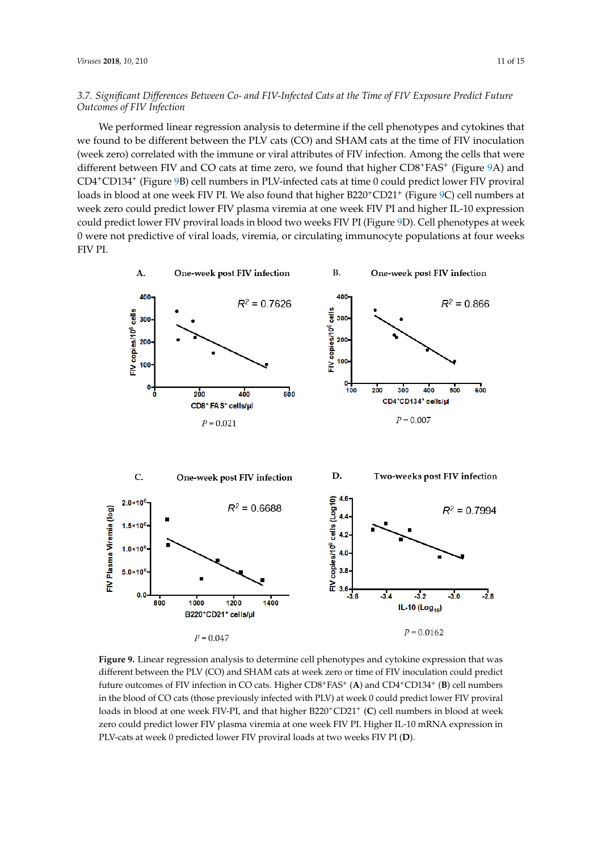### *3.7. Significant Differences Between Co- and FIV-Infected Cats at the Time of FIV Exposure Predict Future Outcomes of FIV Infection*

We performed linear regression analysis to determine if the cell phenotypes and cytokines that we found to be different between the PLV cats (CO) and SHAM cats at the time of FIV inoculation *Outcomes of FIV Infection* (week zero) correlated with the immune or viral attributes of FIV infection. Among the cells that were different between FIV and CO cats at time zero, we found that higher CD8+FAS+ (Figure [9A](#page-10-0)) and CD4+CD134+ (Figure 9B) cell numbers in PLV-infected cats at time 0 could predict lower FIV proviral loads in blood at one week FIV PI. We also found that higher B220<sup>+</sup>CD21<sup>+</sup> (Figure <sup>9</sup>C) cell numbers at week zero could predict lower FIV plasma viremia at one week FIV PI and higher IL-10 expression could predict lower FIV proviral loads in blood two weeks FIV PI (Figure [9D](#page-10-0)). Cell phenotypes at week 0 were not predictive of viral loads, viremia, or circulating immunocyte populations at four weeks FIV PI. FIV proviral loads in blood two weeks FIV PI (Figure 9D). Cell phenotypes at week 0 were not

<span id="page-10-0"></span>

**Figure 9.** Linear regression analysis to determine cell phenotypes and cytokine expression that was **Figure 9.** Linear regression analysis to determine cell phenotypes and cytokine expression that was different between the PLV (CO) and SHAM cats at week zero or time of FIV inoculation could predict different between the PLV (CO) and SHAM cats at week zero or time of FIV inoculation could predict future outcomes of FIV infection in CO cats. Higher CD8+FAS+ (**A**) and CD4+CD134+ (**B**) cell numbers future outcomes of FIV infection in CO cats. Higher CD8+FAS<sup>+</sup> (**A**) and CD4+CD134<sup>+</sup> (**B**) cell numbers  $\sum_{i=1}^{n}$  in the blood of CO cats  $\sum_{i=1}^{n}$  in  $\sum_{i=1}^{n}$  at week  $\sum_{i=1}^{n}$ in the blood of CO cats (those previously infected with PLV) at week 0 could predict lower FIV proviral loads in blood at one week FIV-PI, and that higher B220<sup>+</sup>CD21<sup>+</sup> (C) cell numbers in blood at week zero could predict lower FIV plasma viremia at one week FIV PI. Higher IL-10 mRNA expression in PLV-cats at week 0 predicted lower FIV proviral loads at two weeks FIV PI (**D**).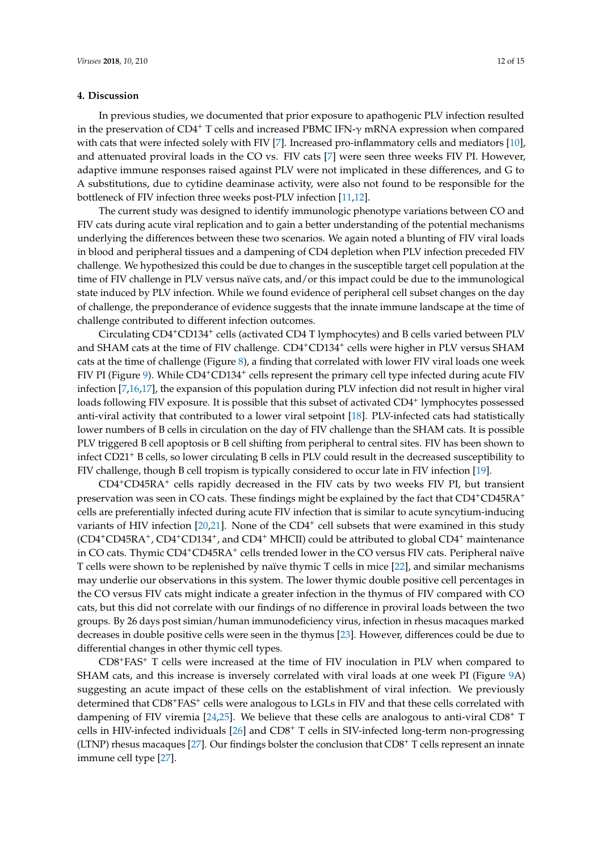### **4. Discussion**

In previous studies, we documented that prior exposure to apathogenic PLV infection resulted in the preservation of CD4<sup>+</sup> T cells and increased PBMC IFN- $\gamma$  mRNA expression when compared with cats that were infected solely with FIV [\[7\]](#page-13-2). Increased pro-inflammatory cells and mediators [\[10\]](#page-13-5), and attenuated proviral loads in the CO vs. FIV cats [\[7\]](#page-13-2) were seen three weeks FIV PI. However, adaptive immune responses raised against PLV were not implicated in these differences, and G to A substitutions, due to cytidine deaminase activity, were also not found to be responsible for the bottleneck of FIV infection three weeks post-PLV infection [\[11](#page-13-6)[,12\]](#page-13-7).

The current study was designed to identify immunologic phenotype variations between CO and FIV cats during acute viral replication and to gain a better understanding of the potential mechanisms underlying the differences between these two scenarios. We again noted a blunting of FIV viral loads in blood and peripheral tissues and a dampening of CD4 depletion when PLV infection preceded FIV challenge. We hypothesized this could be due to changes in the susceptible target cell population at the time of FIV challenge in PLV versus naïve cats, and/or this impact could be due to the immunological state induced by PLV infection. While we found evidence of peripheral cell subset changes on the day of challenge, the preponderance of evidence suggests that the innate immune landscape at the time of challenge contributed to different infection outcomes.

Circulating CD4+CD134<sup>+</sup> cells (activated CD4 T lymphocytes) and B cells varied between PLV and SHAM cats at the time of FIV challenge.  $CD4^+CD134^+$  cells were higher in PLV versus SHAM cats at the time of challenge (Figure [8\)](#page-9-1), a finding that correlated with lower FIV viral loads one week FIV PI (Figure [9\)](#page-10-0). While CD4<sup>+</sup>CD134<sup>+</sup> cells represent the primary cell type infected during acute FIV infection [\[7](#page-13-2)[,16](#page-13-11)[,17\]](#page-13-12), the expansion of this population during PLV infection did not result in higher viral loads following FIV exposure. It is possible that this subset of activated CD4<sup>+</sup> lymphocytes possessed anti-viral activity that contributed to a lower viral setpoint [\[18\]](#page-13-13). PLV-infected cats had statistically lower numbers of B cells in circulation on the day of FIV challenge than the SHAM cats. It is possible PLV triggered B cell apoptosis or B cell shifting from peripheral to central sites. FIV has been shown to infect CD21<sup>+</sup> B cells, so lower circulating B cells in PLV could result in the decreased susceptibility to FIV challenge, though B cell tropism is typically considered to occur late in FIV infection [\[19\]](#page-13-14).

CD4+CD45RA<sup>+</sup> cells rapidly decreased in the FIV cats by two weeks FIV PI, but transient preservation was seen in CO cats. These findings might be explained by the fact that CD4+CD45RA<sup>+</sup> cells are preferentially infected during acute FIV infection that is similar to acute syncytium-inducing variants of HIV infection [\[20](#page-13-15)[,21\]](#page-14-0). None of the CD4<sup>+</sup> cell subsets that were examined in this study (CD4+CD45RA<sup>+</sup> , CD4+CD134<sup>+</sup> , and CD4<sup>+</sup> MHCII) could be attributed to global CD4<sup>+</sup> maintenance in CO cats. Thymic CD4<sup>+</sup>CD45RA<sup>+</sup> cells trended lower in the CO versus FIV cats. Peripheral naïve T cells were shown to be replenished by naïve thymic T cells in mice [\[22\]](#page-14-1), and similar mechanisms may underlie our observations in this system. The lower thymic double positive cell percentages in the CO versus FIV cats might indicate a greater infection in the thymus of FIV compared with CO cats, but this did not correlate with our findings of no difference in proviral loads between the two groups. By 26 days post simian/human immunodeficiency virus, infection in rhesus macaques marked decreases in double positive cells were seen in the thymus [\[23\]](#page-14-2). However, differences could be due to differential changes in other thymic cell types.

CD8+FAS<sup>+</sup> T cells were increased at the time of FIV inoculation in PLV when compared to SHAM cats, and this increase is inversely correlated with viral loads at one week PI (Figure [9A](#page-10-0)) suggesting an acute impact of these cells on the establishment of viral infection. We previously determined that CD8<sup>+</sup>FAS<sup>+</sup> cells were analogous to LGLs in FIV and that these cells correlated with dampening of FIV viremia  $[24,25]$  $[24,25]$ . We believe that these cells are analogous to anti-viral CD8<sup>+</sup> T cells in HIV-infected individuals [\[26\]](#page-14-5) and CD8<sup>+</sup> T cells in SIV-infected long-term non-progressing (LTNP) rhesus macaques [\[27\]](#page-14-6). Our findings bolster the conclusion that  $CDS<sup>+</sup> T$  cells represent an innate immune cell type [\[27\]](#page-14-6).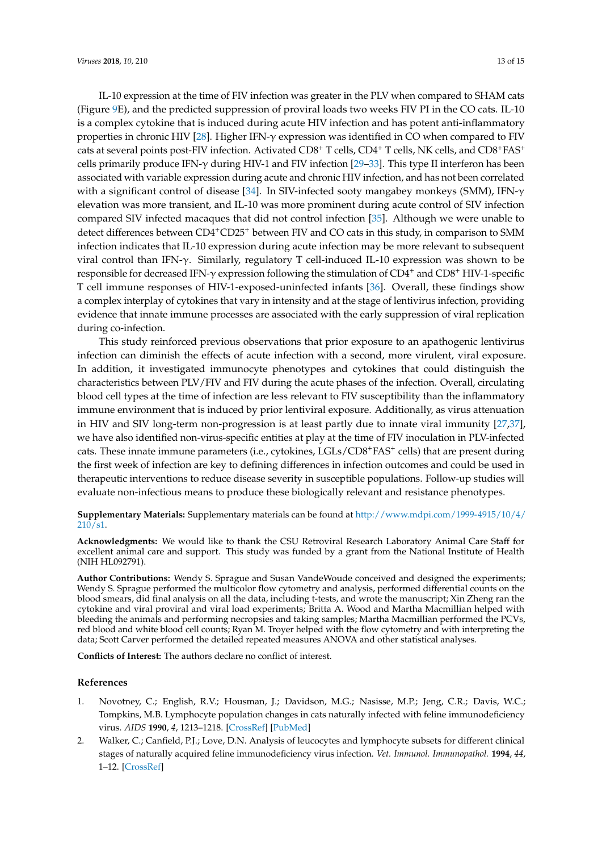IL-10 expression at the time of FIV infection was greater in the PLV when compared to SHAM cats (Figure [9E](#page-10-0)), and the predicted suppression of proviral loads two weeks FIV PI in the CO cats. IL-10 is a complex cytokine that is induced during acute HIV infection and has potent anti-inflammatory properties in chronic HIV [\[28\]](#page-14-7). Higher IFN-γ expression was identified in CO when compared to FIV cats at several points post-FIV infection. Activated CD8<sup>+</sup> T cells, CD4<sup>+</sup> T cells, NK cells, and CD8+FAS<sup>+</sup> cells primarily produce IFN- $\gamma$  during HIV-1 and FIV infection [\[29–](#page-14-8)[33\]](#page-14-9). This type II interferon has been associated with variable expression during acute and chronic HIV infection, and has not been correlated with a significant control of disease [\[34\]](#page-14-10). In SIV-infected sooty mangabey monkeys (SMM), IFN-γ elevation was more transient, and IL-10 was more prominent during acute control of SIV infection compared SIV infected macaques that did not control infection [\[35\]](#page-14-11). Although we were unable to detect differences between CD4+CD25<sup>+</sup> between FIV and CO cats in this study, in comparison to SMM infection indicates that IL-10 expression during acute infection may be more relevant to subsequent viral control than IFN-γ. Similarly, regulatory T cell-induced IL-10 expression was shown to be responsible for decreased IFN- $\gamma$  expression following the stimulation of CD4<sup>+</sup> and CD8<sup>+</sup> HIV-1-specific T cell immune responses of HIV-1-exposed-uninfected infants [\[36\]](#page-14-12). Overall, these findings show a complex interplay of cytokines that vary in intensity and at the stage of lentivirus infection, providing evidence that innate immune processes are associated with the early suppression of viral replication during co-infection.

This study reinforced previous observations that prior exposure to an apathogenic lentivirus infection can diminish the effects of acute infection with a second, more virulent, viral exposure. In addition, it investigated immunocyte phenotypes and cytokines that could distinguish the characteristics between PLV/FIV and FIV during the acute phases of the infection. Overall, circulating blood cell types at the time of infection are less relevant to FIV susceptibility than the inflammatory immune environment that is induced by prior lentiviral exposure. Additionally, as virus attenuation in HIV and SIV long-term non-progression is at least partly due to innate viral immunity [\[27,](#page-14-6)[37\]](#page-14-13), we have also identified non-virus-specific entities at play at the time of FIV inoculation in PLV-infected cats. These innate immune parameters (i.e., cytokines, LGLs/CD8+FAS+ cells) that are present during the first week of infection are key to defining differences in infection outcomes and could be used in therapeutic interventions to reduce disease severity in susceptible populations. Follow-up studies will evaluate non-infectious means to produce these biologically relevant and resistance phenotypes.

### **Supplementary Materials:** Supplementary materials can be found at [http://www.mdpi.com/1999-4915/10/4/](http://www.mdpi.com/1999-4915/10/4/210/s1) [210/s1.](http://www.mdpi.com/1999-4915/10/4/210/s1)

**Acknowledgments:** We would like to thank the CSU Retroviral Research Laboratory Animal Care Staff for excellent animal care and support. This study was funded by a grant from the National Institute of Health (NIH HL092791).

**Author Contributions:** Wendy S. Sprague and Susan VandeWoude conceived and designed the experiments; Wendy S. Sprague performed the multicolor flow cytometry and analysis, performed differential counts on the blood smears, did final analysis on all the data, including t-tests, and wrote the manuscript; Xin Zheng ran the cytokine and viral proviral and viral load experiments; Britta A. Wood and Martha Macmillian helped with bleeding the animals and performing necropsies and taking samples; Martha Macmillian performed the PCVs, red blood and white blood cell counts; Ryan M. Troyer helped with the flow cytometry and with interpreting the data; Scott Carver performed the detailed repeated measures ANOVA and other statistical analyses.

**Conflicts of Interest:** The authors declare no conflict of interest.

### **References**

- <span id="page-12-0"></span>1. Novotney, C.; English, R.V.; Housman, J.; Davidson, M.G.; Nasisse, M.P.; Jeng, C.R.; Davis, W.C.; Tompkins, M.B. Lymphocyte population changes in cats naturally infected with feline immunodeficiency virus. *AIDS* **1990**, *4*, 1213–1218. [\[CrossRef\]](http://dx.doi.org/10.1097/00002030-199012000-00005) [\[PubMed\]](http://www.ncbi.nlm.nih.gov/pubmed/1982410)
- <span id="page-12-1"></span>2. Walker, C.; Canfield, P.J.; Love, D.N. Analysis of leucocytes and lymphocyte subsets for different clinical stages of naturally acquired feline immunodeficiency virus infection. *Vet. Immunol. Immunopathol.* **1994**, *44*, 1–12. [\[CrossRef\]](http://dx.doi.org/10.1016/0165-2427(94)90165-1)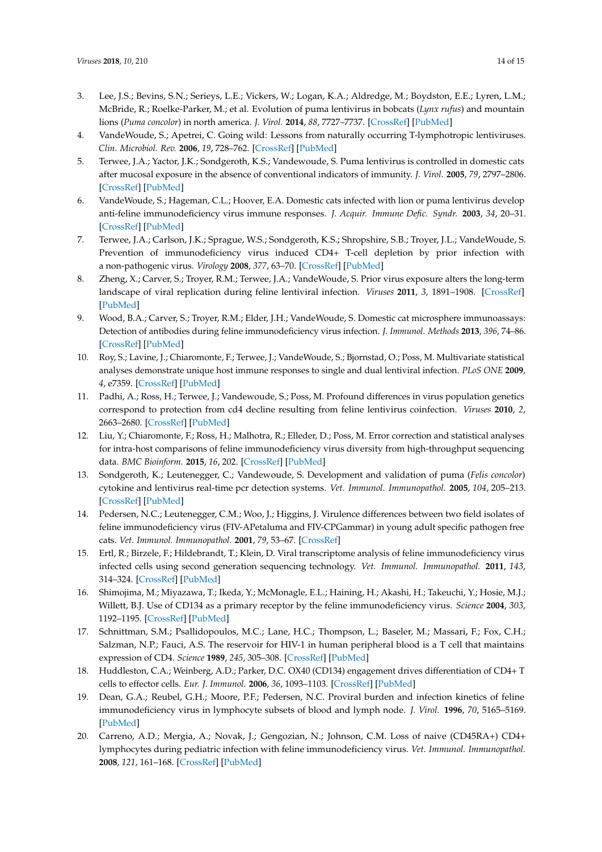- <span id="page-13-0"></span>3. Lee, J.S.; Bevins, S.N.; Serieys, L.E.; Vickers, W.; Logan, K.A.; Aldredge, M.; Boydston, E.E.; Lyren, L.M.; McBride, R.; Roelke-Parker, M.; et al. Evolution of puma lentivirus in bobcats (*Lynx rufus*) and mountain lions (*Puma concolor*) in north america. *J. Virol.* **2014**, *88*, 7727–7737. [\[CrossRef\]](http://dx.doi.org/10.1128/JVI.00473-14) [\[PubMed\]](http://www.ncbi.nlm.nih.gov/pubmed/24741092)
- 4. VandeWoude, S.; Apetrei, C. Going wild: Lessons from naturally occurring T-lymphotropic lentiviruses. *Clin. Microbiol. Rev.* **2006**, *19*, 728–762. [\[CrossRef\]](http://dx.doi.org/10.1128/CMR.00009-06) [\[PubMed\]](http://www.ncbi.nlm.nih.gov/pubmed/17041142)
- 5. Terwee, J.A.; Yactor, J.K.; Sondgeroth, K.S.; Vandewoude, S. Puma lentivirus is controlled in domestic cats after mucosal exposure in the absence of conventional indicators of immunity. *J. Virol.* **2005**, *79*, 2797–2806. [\[CrossRef\]](http://dx.doi.org/10.1128/JVI.79.5.2797-2806.2005) [\[PubMed\]](http://www.ncbi.nlm.nih.gov/pubmed/15708998)
- <span id="page-13-1"></span>6. VandeWoude, S.; Hageman, C.L.; Hoover, E.A. Domestic cats infected with lion or puma lentivirus develop anti-feline immunodeficiency virus immune responses. *J. Acquir. Immune Defic. Syndr.* **2003**, *34*, 20–31. [\[CrossRef\]](http://dx.doi.org/10.1097/00126334-200309010-00003) [\[PubMed\]](http://www.ncbi.nlm.nih.gov/pubmed/14501789)
- <span id="page-13-2"></span>7. Terwee, J.A.; Carlson, J.K.; Sprague, W.S.; Sondgeroth, K.S.; Shropshire, S.B.; Troyer, J.L.; VandeWoude, S. Prevention of immunodeficiency virus induced CD4+ T-cell depletion by prior infection with a non-pathogenic virus. *Virology* **2008**, *377*, 63–70. [\[CrossRef\]](http://dx.doi.org/10.1016/j.virol.2008.03.037) [\[PubMed\]](http://www.ncbi.nlm.nih.gov/pubmed/18499211)
- <span id="page-13-3"></span>8. Zheng, X.; Carver, S.; Troyer, R.M.; Terwee, J.A.; VandeWoude, S. Prior virus exposure alters the long-term landscape of viral replication during feline lentiviral infection. *Viruses* **2011**, *3*, 1891–1908. [\[CrossRef\]](http://dx.doi.org/10.3390/v3101891) [\[PubMed\]](http://www.ncbi.nlm.nih.gov/pubmed/22069521)
- <span id="page-13-4"></span>9. Wood, B.A.; Carver, S.; Troyer, R.M.; Elder, J.H.; VandeWoude, S. Domestic cat microsphere immunoassays: Detection of antibodies during feline immunodeficiency virus infection. *J. Immunol. Methods* **2013**, *396*, 74–86. [\[CrossRef\]](http://dx.doi.org/10.1016/j.jim.2013.08.001) [\[PubMed\]](http://www.ncbi.nlm.nih.gov/pubmed/23954271)
- <span id="page-13-5"></span>10. Roy, S.; Lavine, J.; Chiaromonte, F.; Terwee, J.; VandeWoude, S.; Bjornstad, O.; Poss, M. Multivariate statistical analyses demonstrate unique host immune responses to single and dual lentiviral infection. *PLoS ONE* **2009**, *4*, e7359. [\[CrossRef\]](http://dx.doi.org/10.1371/journal.pone.0007359) [\[PubMed\]](http://www.ncbi.nlm.nih.gov/pubmed/19806226)
- <span id="page-13-6"></span>11. Padhi, A.; Ross, H.; Terwee, J.; Vandewoude, S.; Poss, M. Profound differences in virus population genetics correspond to protection from cd4 decline resulting from feline lentivirus coinfection. *Viruses* **2010**, *2*, 2663–2680. [\[CrossRef\]](http://dx.doi.org/10.3390/v2122663) [\[PubMed\]](http://www.ncbi.nlm.nih.gov/pubmed/21994636)
- <span id="page-13-7"></span>12. Liu, Y.; Chiaromonte, F.; Ross, H.; Malhotra, R.; Elleder, D.; Poss, M. Error correction and statistical analyses for intra-host comparisons of feline immunodeficiency virus diversity from high-throughput sequencing data. *BMC Bioinform.* **2015**, *16*, 202. [\[CrossRef\]](http://dx.doi.org/10.1186/s12859-015-0607-z) [\[PubMed\]](http://www.ncbi.nlm.nih.gov/pubmed/26123018)
- <span id="page-13-8"></span>13. Sondgeroth, K.; Leutenegger, C.; Vandewoude, S. Development and validation of puma (*Felis concolor*) cytokine and lentivirus real-time pcr detection systems. *Vet. Immunol. Immunopathol.* **2005**, *104*, 205–213. [\[CrossRef\]](http://dx.doi.org/10.1016/j.vetimm.2004.11.009) [\[PubMed\]](http://www.ncbi.nlm.nih.gov/pubmed/15734541)
- <span id="page-13-9"></span>14. Pedersen, N.C.; Leutenegger, C.M.; Woo, J.; Higgins, J. Virulence differences between two field isolates of feline immunodeficiency virus (FIV-APetaluma and FIV-CPGammar) in young adult specific pathogen free cats. *Vet. Immunol. Immunopathol.* **2001**, *79*, 53–67. [\[CrossRef\]](http://dx.doi.org/10.1016/S0165-2427(01)00252-5)
- <span id="page-13-10"></span>15. Ertl, R.; Birzele, F.; Hildebrandt, T.; Klein, D. Viral transcriptome analysis of feline immunodeficiency virus infected cells using second generation sequencing technology. *Vet. Immunol. Immunopathol.* **2011**, *143*, 314–324. [\[CrossRef\]](http://dx.doi.org/10.1016/j.vetimm.2011.06.010) [\[PubMed\]](http://www.ncbi.nlm.nih.gov/pubmed/21742384)
- <span id="page-13-11"></span>16. Shimojima, M.; Miyazawa, T.; Ikeda, Y.; McMonagle, E.L.; Haining, H.; Akashi, H.; Takeuchi, Y.; Hosie, M.J.; Willett, B.J. Use of CD134 as a primary receptor by the feline immunodeficiency virus. *Science* **2004**, *303*, 1192–1195. [\[CrossRef\]](http://dx.doi.org/10.1126/science.1092124) [\[PubMed\]](http://www.ncbi.nlm.nih.gov/pubmed/14976315)
- <span id="page-13-12"></span>17. Schnittman, S.M.; Psallidopoulos, M.C.; Lane, H.C.; Thompson, L.; Baseler, M.; Massari, F.; Fox, C.H.; Salzman, N.P.; Fauci, A.S. The reservoir for HIV-1 in human peripheral blood is a T cell that maintains expression of CD4. *Science* **1989**, *245*, 305–308. [\[CrossRef\]](http://dx.doi.org/10.1126/science.2665081) [\[PubMed\]](http://www.ncbi.nlm.nih.gov/pubmed/2665081)
- <span id="page-13-13"></span>18. Huddleston, C.A.; Weinberg, A.D.; Parker, D.C. OX40 (CD134) engagement drives differentiation of CD4+ T cells to effector cells. *Eur. J. Immunol.* **2006**, *36*, 1093–1103. [\[CrossRef\]](http://dx.doi.org/10.1002/eji.200535637) [\[PubMed\]](http://www.ncbi.nlm.nih.gov/pubmed/16541471)
- <span id="page-13-14"></span>19. Dean, G.A.; Reubel, G.H.; Moore, P.F.; Pedersen, N.C. Proviral burden and infection kinetics of feline immunodeficiency virus in lymphocyte subsets of blood and lymph node. *J. Virol.* **1996**, *70*, 5165–5169. [\[PubMed\]](http://www.ncbi.nlm.nih.gov/pubmed/8764024)
- <span id="page-13-15"></span>20. Carreno, A.D.; Mergia, A.; Novak, J.; Gengozian, N.; Johnson, C.M. Loss of naive (CD45RA+) CD4+ lymphocytes during pediatric infection with feline immunodeficiency virus. *Vet. Immunol. Immunopathol.* **2008**, *121*, 161–168. [\[CrossRef\]](http://dx.doi.org/10.1016/j.vetimm.2007.09.001) [\[PubMed\]](http://www.ncbi.nlm.nih.gov/pubmed/17964661)